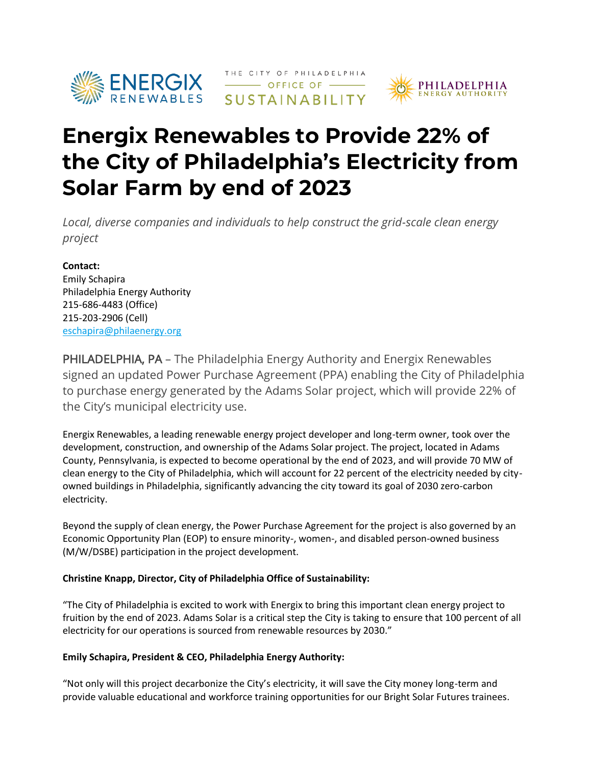

# RENERGIX THE CITY OF PHILADELPHIA



# **Energix Renewables to Provide 22% of the City of Philadelphia's Electricity from Solar Farm by end of 2023**

*Local, diverse companies and individuals to help construct the grid-scale clean energy project*

### **Contact:**

Emily Schapira Philadelphia Energy Authority 215-686-4483 (Office) 215-203-2906 (Cell) [eschapira@philaenergy.org](mailto:eschapira@philaenergy.org)

PHILADELPHIA, PA – The Philadelphia Energy Authority and Energix Renewables signed an updated Power Purchase Agreement (PPA) enabling the City of Philadelphia to purchase energy generated by the Adams Solar project, which will provide 22% of the City's municipal electricity use.

Energix Renewables, a leading renewable energy project developer and long-term owner, took over the development, construction, and ownership of the Adams Solar project. The project, located in Adams County, Pennsylvania, is expected to become operational by the end of 2023, and will provide 70 MW of clean energy to the City of Philadelphia, which will account for 22 percent of the electricity needed by cityowned buildings in Philadelphia, significantly advancing the city toward its goal of 2030 zero-carbon electricity.

Beyond the supply of clean energy, the Power Purchase Agreement for the project is also governed by an Economic Opportunity Plan (EOP) to ensure minority-, women-, and disabled person-owned business (M/W/DSBE) participation in the project development.

#### **Christine Knapp, Director, City of Philadelphia Office of Sustainability:**

"The City of Philadelphia is excited to work with Energix to bring this important clean energy project to fruition by the end of 2023. Adams Solar is a critical step the City is taking to ensure that 100 percent of all electricity for our operations is sourced from renewable resources by 2030."

## **Emily Schapira, President & CEO, Philadelphia Energy Authority:**

"Not only will this project decarbonize the City's electricity, it will save the City money long-term and provide valuable educational and workforce training opportunities for our Bright Solar Futures trainees.